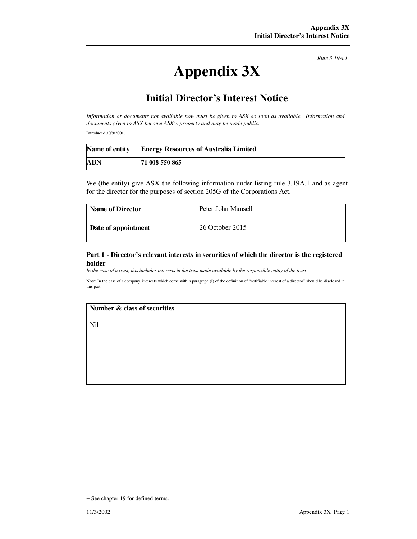*Rule 3.19A.1*

# **Appendix 3X**

# **Initial Director's Interest Notice**

*Information or documents not available now must be given to ASX as soon as available. Information and documents given to ASX become ASX's property and may be made public.* 

Introduced 30/9/2001.

|            | Name of entity Energy Resources of Australia Limited |
|------------|------------------------------------------------------|
| <b>ABN</b> | 71 008 550 865                                       |

We (the entity) give ASX the following information under listing rule 3.19A.1 and as agent for the director for the purposes of section 205G of the Corporations Act.

| <b>Name of Director</b> | Peter John Mansell |
|-------------------------|--------------------|
| Date of appointment     | 26 October 2015    |

#### **Part 1 - Director's relevant interests in securities of which the director is the registered holder**

*In the case of a trust, this includes interests in the trust made available by the responsible entity of the trust*

Note: In the case of a company, interests which come within paragraph (i) of the definition of "notifiable interest of a director" should be disclosed in this part.

## **Number & class of securities**

Nil

<sup>+</sup> See chapter 19 for defined terms.